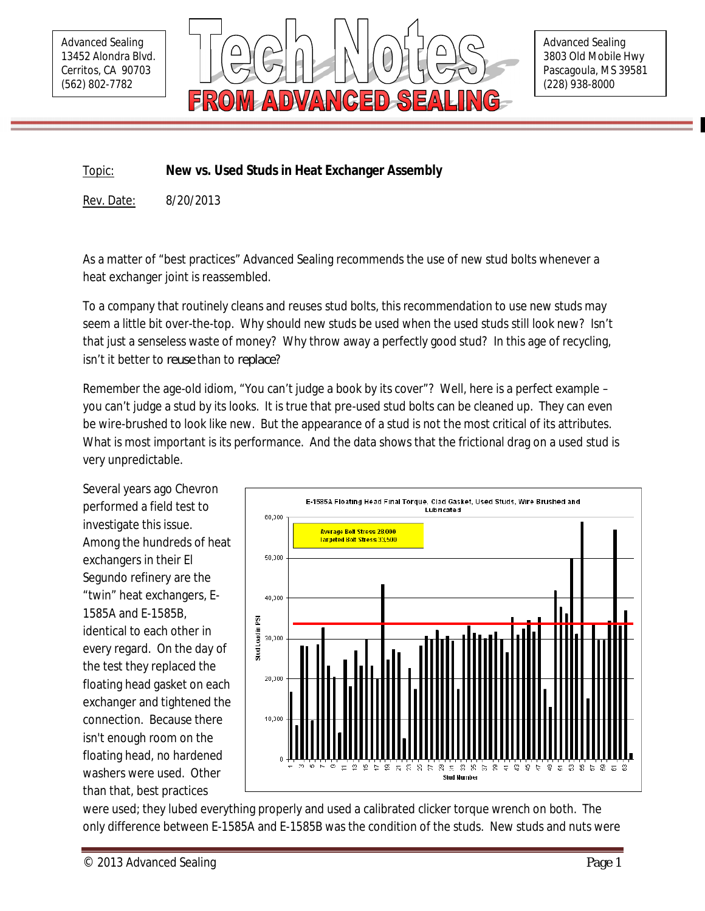Advanced Sealing 13452 Alondra Blvd. Cerritos, CA 90703 (562) 802-7782



Advanced Sealing 3803 Old Mobile Hwy Pascagoula, MS 39581 (228) 938-8000

Topic: **New vs. Used Studs in Heat Exchanger Assembly**

Rev. Date: 8/20/2013

As a matter of "best practices" Advanced Sealing recommends the use of new stud bolts whenever a heat exchanger joint is reassembled.

To a company that routinely cleans and reuses stud bolts, this recommendation to use new studs may seem a little bit over-the-top. Why should new studs be used when the used studs still look new? Isn't that just a senseless waste of money? Why throw away a perfectly good stud? In this age of recycling, isn't it better to *reuse* than to *replace*?

Remember the age-old idiom, "You can't judge a book by its cover"? Well, here is a perfect example – you can't judge a stud by its looks. It is true that pre-used stud bolts can be cleaned up. They can even be wire-brushed to look like new. But the appearance of a stud is not the most critical of its attributes. What is most important is its performance. And the data shows that the frictional drag on a used stud is very unpredictable.

Several years ago Chevron performed a field test to investigate this issue. Among the hundreds of heat exchangers in their El Segundo refinery are the "twin" heat exchangers, E-1585A and E-1585B, identical to each other in every regard. On the day of the test they replaced the floating head gasket on each exchanger and tightened the connection. Because there isn't enough room on the floating head, no hardened washers were used. Other than that, best practices



were used; they lubed everything properly and used a calibrated clicker torque wrench on both. The only difference between E-1585A and E-1585B was the condition of the studs. New studs and nuts were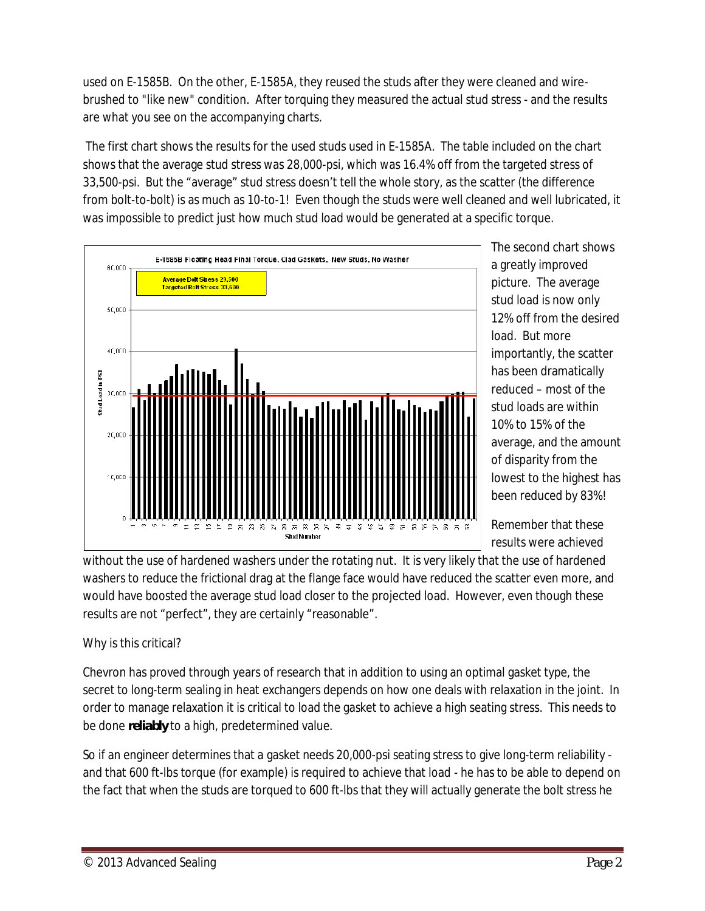used on E-1585B. On the other, E-1585A, they reused the studs after they were cleaned and wirebrushed to "like new" condition. After torquing they measured the actual stud stress - and the results are what you see on the accompanying charts.

The first chart shows the results for the used studs used in E-1585A. The table included on the chart shows that the average stud stress was 28,000-psi, which was 16.4% off from the targeted stress of 33,500-psi. But the "average" stud stress doesn't tell the whole story, as the scatter (the difference from bolt-to-bolt) is as much as 10-to-1! Even though the studs were well cleaned and well lubricated, it was impossible to predict just how much stud load would be generated at a specific torque.



The second chart shows a greatly improved picture. The average stud load is now only 12% off from the desired load. But more importantly, the scatter has been dramatically reduced – most of the stud loads are within 10% to 15% of the average, and the amount of disparity from the lowest to the highest has been reduced by 83%!

Remember that these results were achieved

without the use of hardened washers under the rotating nut. It is very likely that the use of hardened washers to reduce the frictional drag at the flange face would have reduced the scatter even more, and would have boosted the average stud load closer to the projected load. However, even though these results are not "perfect", they are certainly "reasonable".

## Why is this critical?

Chevron has proved through years of research that in addition to using an optimal gasket type, the secret to long-term sealing in heat exchangers depends on how one deals with relaxation in the joint. In order to manage relaxation it is critical to load the gasket to achieve a high seating stress. This needs to be done *reliably* to a high, predetermined value.

So if an engineer determines that a gasket needs 20,000-psi seating stress to give long-term reliability and that 600 ft-lbs torque (for example) is required to achieve that load - he has to be able to depend on the fact that when the studs are torqued to 600 ft-lbs that they will actually generate the bolt stress he